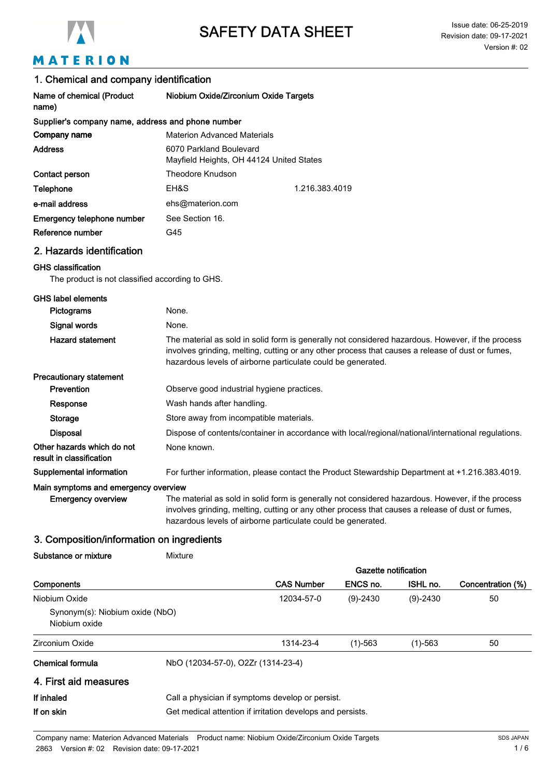

# MATERION

|  |  |  |  | 1. Chemical and company identification |
|--|--|--|--|----------------------------------------|
|--|--|--|--|----------------------------------------|

| Name of chemical (Product<br>name)                                           | Niobium Oxide/Zirconium Oxide Targets                               |                                                                                                                                                                                                                                                                       |  |
|------------------------------------------------------------------------------|---------------------------------------------------------------------|-----------------------------------------------------------------------------------------------------------------------------------------------------------------------------------------------------------------------------------------------------------------------|--|
| Supplier's company name, address and phone number                            |                                                                     |                                                                                                                                                                                                                                                                       |  |
| Company name                                                                 | <b>Materion Advanced Materials</b>                                  |                                                                                                                                                                                                                                                                       |  |
| <b>Address</b>                                                               | 6070 Parkland Boulevard<br>Mayfield Heights, OH 44124 United States |                                                                                                                                                                                                                                                                       |  |
| Contact person                                                               | <b>Theodore Knudson</b>                                             |                                                                                                                                                                                                                                                                       |  |
| Telephone                                                                    | EH&S                                                                | 1.216.383.4019                                                                                                                                                                                                                                                        |  |
| e-mail address                                                               | ehs@materion.com                                                    |                                                                                                                                                                                                                                                                       |  |
| Emergency telephone number                                                   | See Section 16.                                                     |                                                                                                                                                                                                                                                                       |  |
| Reference number                                                             | G45                                                                 |                                                                                                                                                                                                                                                                       |  |
| 2. Hazards identification                                                    |                                                                     |                                                                                                                                                                                                                                                                       |  |
| <b>GHS classification</b><br>The product is not classified according to GHS. |                                                                     |                                                                                                                                                                                                                                                                       |  |
| <b>GHS label elements</b>                                                    |                                                                     |                                                                                                                                                                                                                                                                       |  |
| <b>Pictograms</b>                                                            | None.                                                               |                                                                                                                                                                                                                                                                       |  |
| Signal words                                                                 | None.                                                               |                                                                                                                                                                                                                                                                       |  |
| <b>Hazard statement</b>                                                      |                                                                     | The material as sold in solid form is generally not considered hazardous. However, if the process<br>involves grinding, melting, cutting or any other process that causes a release of dust or fumes,<br>hazardous levels of airborne particulate could be generated. |  |
| <b>Precautionary statement</b>                                               |                                                                     |                                                                                                                                                                                                                                                                       |  |
| Prevention                                                                   | Observe good industrial hygiene practices.                          |                                                                                                                                                                                                                                                                       |  |
| Response                                                                     | Wash hands after handling.                                          |                                                                                                                                                                                                                                                                       |  |
| Storaga                                                                      | Store away from incompatible materials                              |                                                                                                                                                                                                                                                                       |  |

Storage Store away from incompatible materials. Disposal Dispose of contents/container in accordance with local/regional/national/international regulations. Other hazards which do not result in classification None known.

Supplemental information For further information, please contact the Product Stewardship Department at +1.216.383.4019.

#### Main symptoms and emergency overview

The material as sold in solid form is generally not considered hazardous. However, if the process involves grinding, melting, cutting or any other process that causes a release of dust or fumes, hazardous levels of airborne particulate could be generated. Emergency overview

### 3. Composition/information on ingredients

```
Substance or mixture Mixture
```

|                                                  |                                                            | Gazette notification |              |              |                   |
|--------------------------------------------------|------------------------------------------------------------|----------------------|--------------|--------------|-------------------|
| <b>Components</b>                                |                                                            | <b>CAS Number</b>    | ENCS no.     | ISHL no.     | Concentration (%) |
| Niobium Oxide                                    |                                                            | 12034-57-0           | $(9) - 2430$ | $(9) - 2430$ | 50                |
| Synonym(s): Niobium oxide (NbO)<br>Niobium oxide |                                                            |                      |              |              |                   |
| Zirconium Oxide                                  |                                                            | 1314-23-4            | $(1)-563$    | $(1) - 563$  | 50                |
| Chemical formula                                 | NbO (12034-57-0), O2Zr (1314-23-4)                         |                      |              |              |                   |
| 4. First aid measures                            |                                                            |                      |              |              |                   |
| If inhaled                                       | Call a physician if symptoms develop or persist.           |                      |              |              |                   |
| If on skin                                       | Get medical attention if irritation develops and persists. |                      |              |              |                   |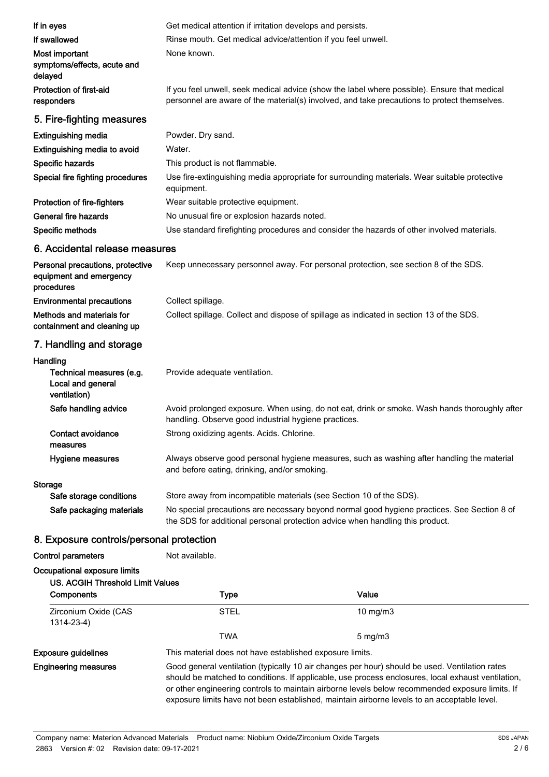|                                                                                                                               | should be matched to conditions. If applicable, use process enclosures, local exhaust ventilation,<br>or other engineering controls to maintain airborne levels below recommended exposure limits. If<br>exposure limits have not been established, maintain airborne levels to an acceptable level. |                  |  |  |  |
|-------------------------------------------------------------------------------------------------------------------------------|------------------------------------------------------------------------------------------------------------------------------------------------------------------------------------------------------------------------------------------------------------------------------------------------------|------------------|--|--|--|
| Good general ventilation (typically 10 air changes per hour) should be used. Ventilation rates<br><b>Engineering measures</b> |                                                                                                                                                                                                                                                                                                      |                  |  |  |  |
| <b>Exposure guidelines</b>                                                                                                    | This material does not have established exposure limits.                                                                                                                                                                                                                                             |                  |  |  |  |
|                                                                                                                               | <b>TWA</b>                                                                                                                                                                                                                                                                                           | $5 \text{ mg/m}$ |  |  |  |
| Zirconium Oxide (CAS<br>1314-23-4)                                                                                            | <b>STEL</b>                                                                                                                                                                                                                                                                                          | $10$ mg/m $3$    |  |  |  |
| Components                                                                                                                    | <b>Type</b>                                                                                                                                                                                                                                                                                          | Value            |  |  |  |
| Occupational exposure limits<br><b>US. ACGIH Threshold Limit Values</b>                                                       |                                                                                                                                                                                                                                                                                                      |                  |  |  |  |
| <b>Control parameters</b>                                                                                                     | Not available.                                                                                                                                                                                                                                                                                       |                  |  |  |  |
|                                                                                                                               |                                                                                                                                                                                                                                                                                                      |                  |  |  |  |
| 8. Exposure controls/personal protection                                                                                      | the SDS for additional personal protection advice when handling this product.                                                                                                                                                                                                                        |                  |  |  |  |
| Safe packaging materials                                                                                                      | No special precautions are necessary beyond normal good hygiene practices. See Section 8 of                                                                                                                                                                                                          |                  |  |  |  |
| Safe storage conditions                                                                                                       | Store away from incompatible materials (see Section 10 of the SDS).                                                                                                                                                                                                                                  |                  |  |  |  |
| <b>Storage</b>                                                                                                                |                                                                                                                                                                                                                                                                                                      |                  |  |  |  |
| Hygiene measures                                                                                                              | Always observe good personal hygiene measures, such as washing after handling the material<br>and before eating, drinking, and/or smoking.                                                                                                                                                           |                  |  |  |  |
| <b>Contact avoidance</b><br>measures                                                                                          | Strong oxidizing agents. Acids. Chlorine.                                                                                                                                                                                                                                                            |                  |  |  |  |
| Safe handling advice                                                                                                          | Avoid prolonged exposure. When using, do not eat, drink or smoke. Wash hands thoroughly after<br>handling. Observe good industrial hygiene practices.                                                                                                                                                |                  |  |  |  |
| Technical measures (e.g.<br>Local and general<br>ventilation)                                                                 | Provide adequate ventilation.                                                                                                                                                                                                                                                                        |                  |  |  |  |
| Handling                                                                                                                      |                                                                                                                                                                                                                                                                                                      |                  |  |  |  |
| 7. Handling and storage                                                                                                       |                                                                                                                                                                                                                                                                                                      |                  |  |  |  |
| Methods and materials for<br>containment and cleaning up                                                                      | Collect spillage. Collect and dispose of spillage as indicated in section 13 of the SDS.                                                                                                                                                                                                             |                  |  |  |  |
| Collect spillage.<br><b>Environmental precautions</b>                                                                         |                                                                                                                                                                                                                                                                                                      |                  |  |  |  |
| Personal precautions, protective<br>equipment and emergency<br>procedures                                                     | Keep unnecessary personnel away. For personal protection, see section 8 of the SDS.                                                                                                                                                                                                                  |                  |  |  |  |
| 6. Accidental release measures                                                                                                |                                                                                                                                                                                                                                                                                                      |                  |  |  |  |
| Specific methods                                                                                                              | Use standard firefighting procedures and consider the hazards of other involved materials.                                                                                                                                                                                                           |                  |  |  |  |
| General fire hazards                                                                                                          | No unusual fire or explosion hazards noted.                                                                                                                                                                                                                                                          |                  |  |  |  |
| Protection of fire-fighters                                                                                                   | Wear suitable protective equipment.                                                                                                                                                                                                                                                                  |                  |  |  |  |
|                                                                                                                               | Use fire-extinguishing media appropriate for surrounding materials. Wear suitable protective<br>equipment.                                                                                                                                                                                           |                  |  |  |  |
| Specific hazards<br>Special fire fighting procedures                                                                          | This product is not flammable.                                                                                                                                                                                                                                                                       |                  |  |  |  |
| Extinguishing media to avoid                                                                                                  | Water.                                                                                                                                                                                                                                                                                               |                  |  |  |  |
| <b>Extinguishing media</b>                                                                                                    | Powder. Dry sand.                                                                                                                                                                                                                                                                                    |                  |  |  |  |
| 5. Fire-fighting measures                                                                                                     |                                                                                                                                                                                                                                                                                                      |                  |  |  |  |
| Protection of first-aid<br>responders                                                                                         | If you feel unwell, seek medical advice (show the label where possible). Ensure that medical<br>personnel are aware of the material(s) involved, and take precautions to protect themselves.                                                                                                         |                  |  |  |  |
| symptoms/effects, acute and<br>delayed                                                                                        |                                                                                                                                                                                                                                                                                                      |                  |  |  |  |
| Most important                                                                                                                | None known.                                                                                                                                                                                                                                                                                          |                  |  |  |  |
| If swallowed                                                                                                                  | Rinse mouth. Get medical advice/attention if you feel unwell.                                                                                                                                                                                                                                        |                  |  |  |  |
| If in eyes                                                                                                                    | Get medical attention if irritation develops and persists.                                                                                                                                                                                                                                           |                  |  |  |  |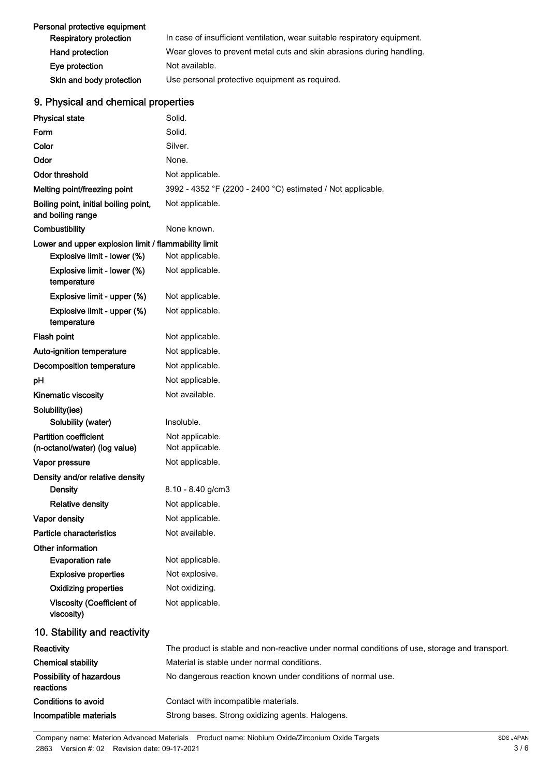| Personal protective equipment |                                                                           |
|-------------------------------|---------------------------------------------------------------------------|
| <b>Respiratory protection</b> | In case of insufficient ventilation, wear suitable respiratory equipment. |
| Hand protection               | Wear gloves to prevent metal cuts and skin abrasions during handling.     |
| Eye protection                | Not available.                                                            |
| Skin and body protection      | Use personal protective equipment as required.                            |

# 9. Physical and chemical properties

| <b>Physical state</b>                                         | Solid.                                                                                        |  |  |
|---------------------------------------------------------------|-----------------------------------------------------------------------------------------------|--|--|
| Form                                                          | Solid.                                                                                        |  |  |
| Color                                                         | Silver.                                                                                       |  |  |
| Odor                                                          | None.                                                                                         |  |  |
| <b>Odor threshold</b>                                         | Not applicable.                                                                               |  |  |
| Melting point/freezing point                                  | 3992 - 4352 °F (2200 - 2400 °C) estimated / Not applicable.                                   |  |  |
| Boiling point, initial boiling point,<br>and boiling range    | Not applicable.                                                                               |  |  |
| Combustibility                                                | None known.                                                                                   |  |  |
| Lower and upper explosion limit / flammability limit          |                                                                                               |  |  |
| Explosive limit - lower (%)                                   | Not applicable.                                                                               |  |  |
| Explosive limit - lower (%)<br>temperature                    | Not applicable.                                                                               |  |  |
| Explosive limit - upper (%)                                   | Not applicable.                                                                               |  |  |
| Explosive limit - upper (%)<br>temperature                    | Not applicable.                                                                               |  |  |
| Flash point                                                   | Not applicable.                                                                               |  |  |
| Auto-ignition temperature                                     | Not applicable.                                                                               |  |  |
| Decomposition temperature                                     | Not applicable.                                                                               |  |  |
| pH                                                            | Not applicable.                                                                               |  |  |
| Kinematic viscosity                                           | Not available.                                                                                |  |  |
| Solubility(ies)                                               |                                                                                               |  |  |
| Solubility (water)                                            | Insoluble.                                                                                    |  |  |
| <b>Partition coefficient</b><br>(n-octanol/water) (log value) | Not applicable.<br>Not applicable.                                                            |  |  |
| Vapor pressure                                                | Not applicable.                                                                               |  |  |
| Density and/or relative density<br><b>Density</b>             | $8.10 - 8.40$ g/cm3                                                                           |  |  |
| <b>Relative density</b>                                       | Not applicable.                                                                               |  |  |
| Vapor density                                                 | Not applicable.                                                                               |  |  |
| <b>Particle characteristics</b>                               | Not available.                                                                                |  |  |
| Other information                                             |                                                                                               |  |  |
| <b>Evaporation rate</b>                                       | Not applicable.                                                                               |  |  |
| <b>Explosive properties</b>                                   | Not explosive.                                                                                |  |  |
| <b>Oxidizing properties</b>                                   | Not oxidizing.                                                                                |  |  |
| <b>Viscosity (Coefficient of</b><br>viscosity)                | Not applicable.                                                                               |  |  |
| 10. Stability and reactivity                                  |                                                                                               |  |  |
| Reactivity                                                    | The product is stable and non-reactive under normal conditions of use, storage and transport. |  |  |
| <b>Chemical stability</b>                                     | Material is stable under normal conditions.                                                   |  |  |
| Possibility of hazardous<br>reactions                         | No dangerous reaction known under conditions of normal use.                                   |  |  |
| <b>Conditions to avoid</b>                                    | Contact with incompatible materials.                                                          |  |  |
| Incompatible materials                                        | Strong bases. Strong oxidizing agents. Halogens.                                              |  |  |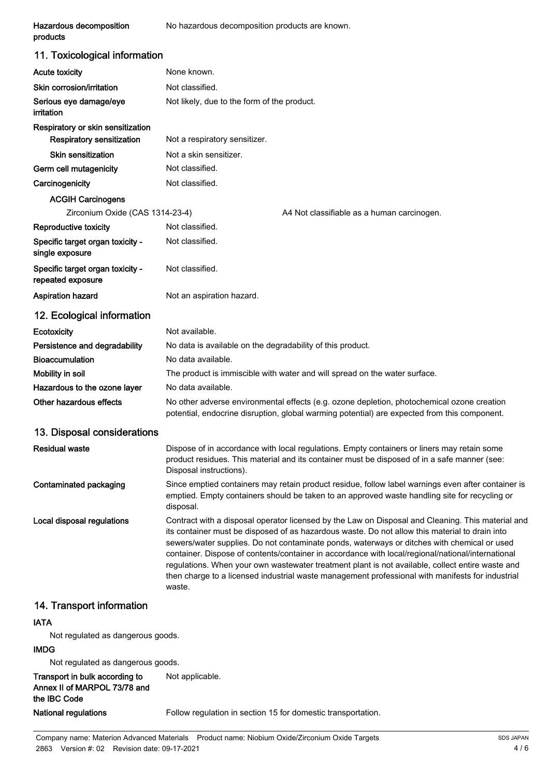| Hazardous decomposition<br>products                            | No hazardous decomposition products are known.                                                                                                                                                                                                                                                                                                                                                                                                                                                                                                                                                                            |  |  |  |
|----------------------------------------------------------------|---------------------------------------------------------------------------------------------------------------------------------------------------------------------------------------------------------------------------------------------------------------------------------------------------------------------------------------------------------------------------------------------------------------------------------------------------------------------------------------------------------------------------------------------------------------------------------------------------------------------------|--|--|--|
| 11. Toxicological information                                  |                                                                                                                                                                                                                                                                                                                                                                                                                                                                                                                                                                                                                           |  |  |  |
| <b>Acute toxicity</b>                                          | None known.                                                                                                                                                                                                                                                                                                                                                                                                                                                                                                                                                                                                               |  |  |  |
| Skin corrosion/irritation                                      | Not classified.                                                                                                                                                                                                                                                                                                                                                                                                                                                                                                                                                                                                           |  |  |  |
| Serious eye damage/eye<br>irritation                           | Not likely, due to the form of the product.                                                                                                                                                                                                                                                                                                                                                                                                                                                                                                                                                                               |  |  |  |
| Respiratory or skin sensitization<br>Respiratory sensitization | Not a respiratory sensitizer.                                                                                                                                                                                                                                                                                                                                                                                                                                                                                                                                                                                             |  |  |  |
| <b>Skin sensitization</b>                                      | Not a skin sensitizer.                                                                                                                                                                                                                                                                                                                                                                                                                                                                                                                                                                                                    |  |  |  |
| Germ cell mutagenicity                                         | Not classified.                                                                                                                                                                                                                                                                                                                                                                                                                                                                                                                                                                                                           |  |  |  |
| Carcinogenicity                                                | Not classified.                                                                                                                                                                                                                                                                                                                                                                                                                                                                                                                                                                                                           |  |  |  |
| <b>ACGIH Carcinogens</b>                                       |                                                                                                                                                                                                                                                                                                                                                                                                                                                                                                                                                                                                                           |  |  |  |
| Zirconium Oxide (CAS 1314-23-4)                                | A4 Not classifiable as a human carcinogen.                                                                                                                                                                                                                                                                                                                                                                                                                                                                                                                                                                                |  |  |  |
| Reproductive toxicity                                          | Not classified.                                                                                                                                                                                                                                                                                                                                                                                                                                                                                                                                                                                                           |  |  |  |
| Specific target organ toxicity -<br>single exposure            | Not classified.                                                                                                                                                                                                                                                                                                                                                                                                                                                                                                                                                                                                           |  |  |  |
| Specific target organ toxicity -<br>repeated exposure          | Not classified.                                                                                                                                                                                                                                                                                                                                                                                                                                                                                                                                                                                                           |  |  |  |
| <b>Aspiration hazard</b>                                       | Not an aspiration hazard.                                                                                                                                                                                                                                                                                                                                                                                                                                                                                                                                                                                                 |  |  |  |
| 12. Ecological information                                     |                                                                                                                                                                                                                                                                                                                                                                                                                                                                                                                                                                                                                           |  |  |  |
| Ecotoxicity                                                    | Not available.                                                                                                                                                                                                                                                                                                                                                                                                                                                                                                                                                                                                            |  |  |  |
| Persistence and degradability                                  | No data is available on the degradability of this product.                                                                                                                                                                                                                                                                                                                                                                                                                                                                                                                                                                |  |  |  |
| <b>Bioaccumulation</b>                                         | No data available.                                                                                                                                                                                                                                                                                                                                                                                                                                                                                                                                                                                                        |  |  |  |
| Mobility in soil                                               | The product is immiscible with water and will spread on the water surface.                                                                                                                                                                                                                                                                                                                                                                                                                                                                                                                                                |  |  |  |
| Hazardous to the ozone layer                                   | No data available.                                                                                                                                                                                                                                                                                                                                                                                                                                                                                                                                                                                                        |  |  |  |
| Other hazardous effects                                        | No other adverse environmental effects (e.g. ozone depletion, photochemical ozone creation<br>potential, endocrine disruption, global warming potential) are expected from this component.                                                                                                                                                                                                                                                                                                                                                                                                                                |  |  |  |
| 13. Disposal considerations                                    |                                                                                                                                                                                                                                                                                                                                                                                                                                                                                                                                                                                                                           |  |  |  |
| <b>Residual waste</b>                                          | Dispose of in accordance with local regulations. Empty containers or liners may retain some<br>product residues. This material and its container must be disposed of in a safe manner (see:<br>Disposal instructions).                                                                                                                                                                                                                                                                                                                                                                                                    |  |  |  |
| <b>Contaminated packaging</b>                                  | Since emptied containers may retain product residue, follow label warnings even after container is<br>emptied. Empty containers should be taken to an approved waste handling site for recycling or<br>disposal.                                                                                                                                                                                                                                                                                                                                                                                                          |  |  |  |
| Local disposal regulations                                     | Contract with a disposal operator licensed by the Law on Disposal and Cleaning. This material and<br>its container must be disposed of as hazardous waste. Do not allow this material to drain into<br>sewers/water supplies. Do not contaminate ponds, waterways or ditches with chemical or used<br>container. Dispose of contents/container in accordance with local/regional/national/international<br>regulations. When your own wastewater treatment plant is not available, collect entire waste and<br>then charge to a licensed industrial waste management professional with manifests for industrial<br>waste. |  |  |  |
| 14. Transport information                                      |                                                                                                                                                                                                                                                                                                                                                                                                                                                                                                                                                                                                                           |  |  |  |

### IATA

Not regulated as dangerous goods.

#### IMDG

Not regulated as dangerous goods.

Transport in bulk according to Not applicable.

#### Annex II of MARPOL 73/78 and the IBC Code

National regulations Follow regulation in section 15 for domestic transportation.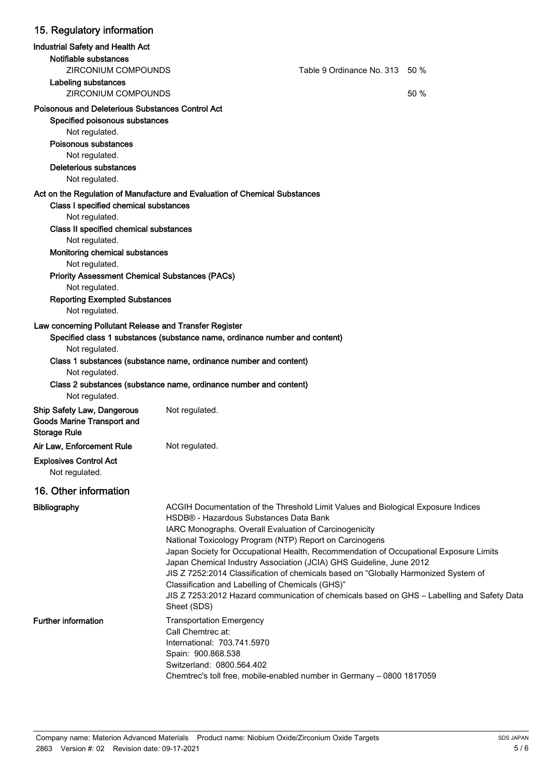## 15. Regulatory information

| Industrial Safety and Health Act<br>Notifiable substances<br>ZIRCONIUM COMPOUNDS<br>Labeling substances<br>ZIRCONIUM COMPOUNDS                                                                                                                                                                                                                                           |                                                                                                                                                                                                                       | Table 9 Ordinance No. 313 50 %                                                                                                                                                                                                                                                                                                                                                                                                                                                                                                                              | 50 % |
|--------------------------------------------------------------------------------------------------------------------------------------------------------------------------------------------------------------------------------------------------------------------------------------------------------------------------------------------------------------------------|-----------------------------------------------------------------------------------------------------------------------------------------------------------------------------------------------------------------------|-------------------------------------------------------------------------------------------------------------------------------------------------------------------------------------------------------------------------------------------------------------------------------------------------------------------------------------------------------------------------------------------------------------------------------------------------------------------------------------------------------------------------------------------------------------|------|
| <b>Poisonous and Deleterious Substances Control Act</b><br>Specified poisonous substances<br>Not regulated.<br>Poisonous substances<br>Not regulated.<br>Deleterious substances<br>Not regulated.                                                                                                                                                                        |                                                                                                                                                                                                                       |                                                                                                                                                                                                                                                                                                                                                                                                                                                                                                                                                             |      |
| Act on the Regulation of Manufacture and Evaluation of Chemical Substances<br>Class I specified chemical substances<br>Not regulated.<br>Class II specified chemical substances<br>Not regulated.<br>Monitoring chemical substances<br>Not regulated.<br><b>Priority Assessment Chemical Substances (PACs)</b><br>Not regulated.<br><b>Reporting Exempted Substances</b> |                                                                                                                                                                                                                       |                                                                                                                                                                                                                                                                                                                                                                                                                                                                                                                                                             |      |
| Not regulated.<br>Law concerning Pollutant Release and Transfer Register<br>Not regulated.<br>Not regulated.<br>Not regulated.                                                                                                                                                                                                                                           | Specified class 1 substances (substance name, ordinance number and content)<br>Class 1 substances (substance name, ordinance number and content)<br>Class 2 substances (substance name, ordinance number and content) |                                                                                                                                                                                                                                                                                                                                                                                                                                                                                                                                                             |      |
| <b>Ship Safety Law, Dangerous</b><br><b>Goods Marine Transport and</b><br><b>Storage Rule</b>                                                                                                                                                                                                                                                                            | Not regulated.                                                                                                                                                                                                        |                                                                                                                                                                                                                                                                                                                                                                                                                                                                                                                                                             |      |
| Air Law, Enforcement Rule                                                                                                                                                                                                                                                                                                                                                | Not regulated.                                                                                                                                                                                                        |                                                                                                                                                                                                                                                                                                                                                                                                                                                                                                                                                             |      |
| <b>Explosives Control Act</b><br>Not regulated.                                                                                                                                                                                                                                                                                                                          |                                                                                                                                                                                                                       |                                                                                                                                                                                                                                                                                                                                                                                                                                                                                                                                                             |      |
| 16. Other information                                                                                                                                                                                                                                                                                                                                                    |                                                                                                                                                                                                                       |                                                                                                                                                                                                                                                                                                                                                                                                                                                                                                                                                             |      |
| <b>Bibliography</b>                                                                                                                                                                                                                                                                                                                                                      | HSDB® - Hazardous Substances Data Bank<br>Classification and Labelling of Chemicals (GHS)"<br>Sheet (SDS)                                                                                                             | ACGIH Documentation of the Threshold Limit Values and Biological Exposure Indices<br>IARC Monographs. Overall Evaluation of Carcinogenicity<br>National Toxicology Program (NTP) Report on Carcinogens<br>Japan Society for Occupational Health, Recommendation of Occupational Exposure Limits<br>Japan Chemical Industry Association (JCIA) GHS Guideline, June 2012<br>JIS Z 7252:2014 Classification of chemicals based on "Globally Harmonized System of<br>JIS Z 7253:2012 Hazard communication of chemicals based on GHS - Labelling and Safety Data |      |
| <b>Further information</b>                                                                                                                                                                                                                                                                                                                                               | <b>Transportation Emergency</b><br>Call Chemtrec at:<br>International: 703.741.5970<br>Spain: 900.868.538<br>Switzerland: 0800.564.402                                                                                | Chemtrec's toll free, mobile-enabled number in Germany - 0800 1817059                                                                                                                                                                                                                                                                                                                                                                                                                                                                                       |      |